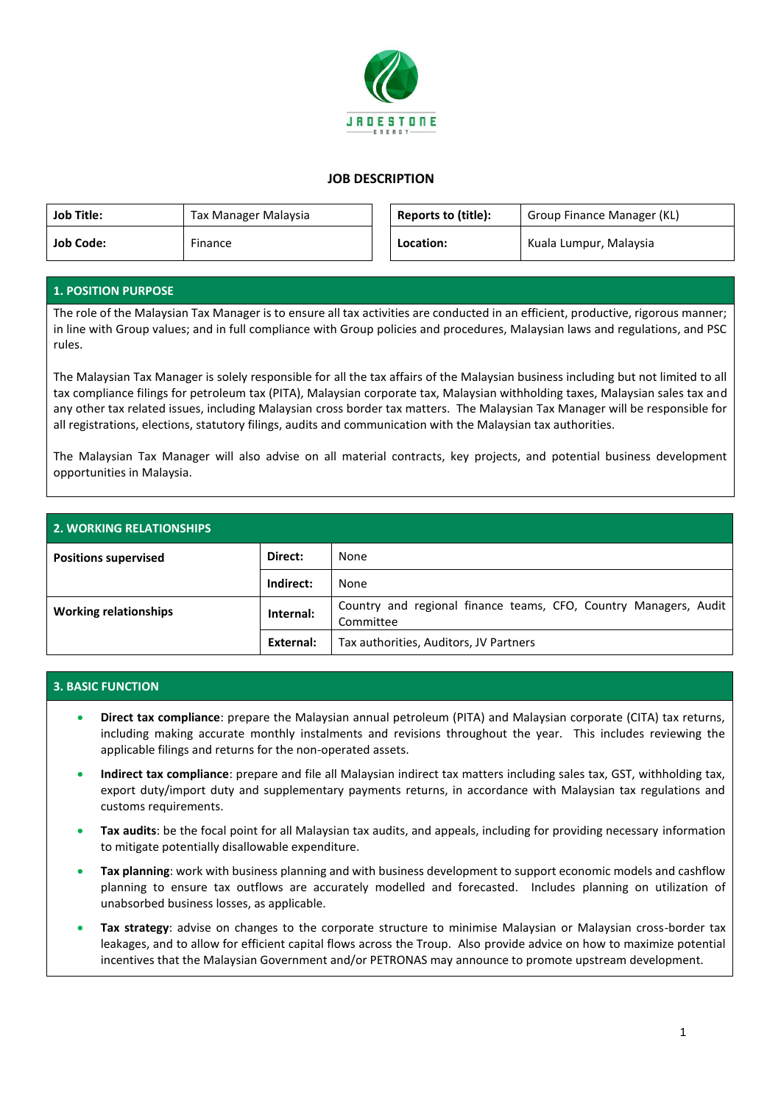

## **JOB DESCRIPTION**

| <b>Job Title:</b> | Tax Manager Malaysia | <b>Reports to (title):</b> | Group Finance Manager (KL) |
|-------------------|----------------------|----------------------------|----------------------------|
| <b>Job Code:</b>  | Finance              | Location:                  | Kuala Lumpur, Malaysia     |

## **1. POSITION PURPOSE**

The role of the Malaysian Tax Manager is to ensure all tax activities are conducted in an efficient, productive, rigorous manner; in line with Group values; and in full compliance with Group policies and procedures, Malaysian laws and regulations, and PSC rules.

The Malaysian Tax Manager is solely responsible for all the tax affairs of the Malaysian business including but not limited to all tax compliance filings for petroleum tax (PITA), Malaysian corporate tax, Malaysian withholding taxes, Malaysian sales tax and any other tax related issues, including Malaysian cross border tax matters. The Malaysian Tax Manager will be responsible for all registrations, elections, statutory filings, audits and communication with the Malaysian tax authorities.

The Malaysian Tax Manager will also advise on all material contracts, key projects, and potential business development opportunities in Malaysia.

| <b>2. WORKING RELATIONSHIPS</b> |           |                                                                               |  |
|---------------------------------|-----------|-------------------------------------------------------------------------------|--|
| <b>Positions supervised</b>     | Direct:   | None                                                                          |  |
|                                 | Indirect: | None                                                                          |  |
| <b>Working relationships</b>    | Internal: | Country and regional finance teams, CFO, Country Managers, Audit<br>Committee |  |
|                                 | External: | Tax authorities, Auditors, JV Partners                                        |  |

## **3. BASIC FUNCTION**

- **Direct tax compliance**: prepare the Malaysian annual petroleum (PITA) and Malaysian corporate (CITA) tax returns, including making accurate monthly instalments and revisions throughout the year. This includes reviewing the applicable filings and returns for the non-operated assets.
- **Indirect tax compliance**: prepare and file all Malaysian indirect tax matters including sales tax, GST, withholding tax, export duty/import duty and supplementary payments returns, in accordance with Malaysian tax regulations and customs requirements.
- **Tax audits**: be the focal point for all Malaysian tax audits, and appeals, including for providing necessary information to mitigate potentially disallowable expenditure.
- **Tax planning**: work with business planning and with business development to support economic models and cashflow planning to ensure tax outflows are accurately modelled and forecasted. Includes planning on utilization of unabsorbed business losses, as applicable.
- **Tax strategy**: advise on changes to the corporate structure to minimise Malaysian or Malaysian cross-border tax leakages, and to allow for efficient capital flows across the Troup. Also provide advice on how to maximize potential incentives that the Malaysian Government and/or PETRONAS may announce to promote upstream development.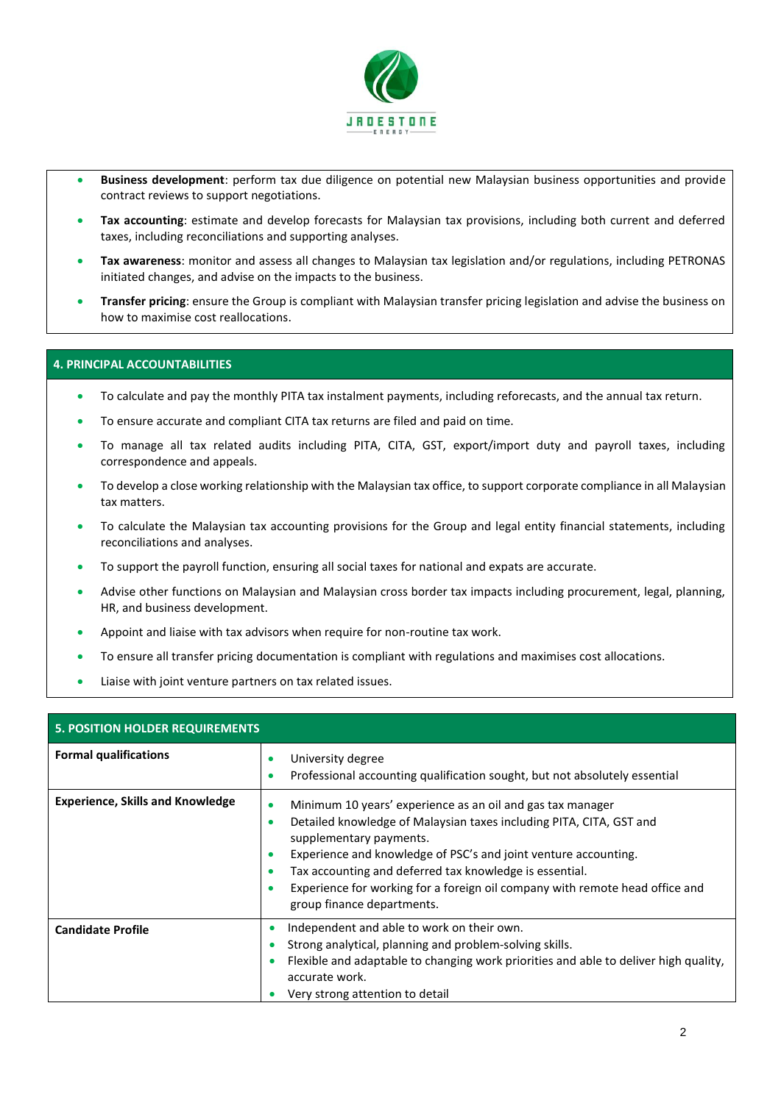

- **Business development**: perform tax due diligence on potential new Malaysian business opportunities and provide contract reviews to support negotiations.
- **Tax accounting**: estimate and develop forecasts for Malaysian tax provisions, including both current and deferred taxes, including reconciliations and supporting analyses.
- **Tax awareness**: monitor and assess all changes to Malaysian tax legislation and/or regulations, including PETRONAS initiated changes, and advise on the impacts to the business.
- **Transfer pricing**: ensure the Group is compliant with Malaysian transfer pricing legislation and advise the business on how to maximise cost reallocations.

## **4. PRINCIPAL ACCOUNTABILITIES**

- To calculate and pay the monthly PITA tax instalment payments, including reforecasts, and the annual tax return.
- To ensure accurate and compliant CITA tax returns are filed and paid on time.
- To manage all tax related audits including PITA, CITA, GST, export/import duty and payroll taxes, including correspondence and appeals.
- To develop a close working relationship with the Malaysian tax office, to support corporate compliance in all Malaysian tax matters.
- To calculate the Malaysian tax accounting provisions for the Group and legal entity financial statements, including reconciliations and analyses.
- To support the payroll function, ensuring all social taxes for national and expats are accurate.
- Advise other functions on Malaysian and Malaysian cross border tax impacts including procurement, legal, planning, HR, and business development.
- Appoint and liaise with tax advisors when require for non-routine tax work.
- To ensure all transfer pricing documentation is compliant with regulations and maximises cost allocations.
- Liaise with joint venture partners on tax related issues.

| <b>5. POSITION HOLDER REQUIREMENTS</b>  |                                                                                                                                                                                                                                                                                                                                                                                                                                                                           |  |  |  |
|-----------------------------------------|---------------------------------------------------------------------------------------------------------------------------------------------------------------------------------------------------------------------------------------------------------------------------------------------------------------------------------------------------------------------------------------------------------------------------------------------------------------------------|--|--|--|
| <b>Formal qualifications</b>            | University degree<br>۰<br>Professional accounting qualification sought, but not absolutely essential<br>$\bullet$                                                                                                                                                                                                                                                                                                                                                         |  |  |  |
| <b>Experience, Skills and Knowledge</b> | Minimum 10 years' experience as an oil and gas tax manager<br>$\bullet$<br>Detailed knowledge of Malaysian taxes including PITA, CITA, GST and<br>$\bullet$<br>supplementary payments.<br>Experience and knowledge of PSC's and joint venture accounting.<br>$\bullet$<br>Tax accounting and deferred tax knowledge is essential.<br>$\bullet$<br>Experience for working for a foreign oil company with remote head office and<br>$\bullet$<br>group finance departments. |  |  |  |
| <b>Candidate Profile</b>                | Independent and able to work on their own.<br>$\bullet$<br>Strong analytical, planning and problem-solving skills.<br>$\bullet$<br>Flexible and adaptable to changing work priorities and able to deliver high quality,<br>$\bullet$<br>accurate work.<br>Very strong attention to detail                                                                                                                                                                                 |  |  |  |